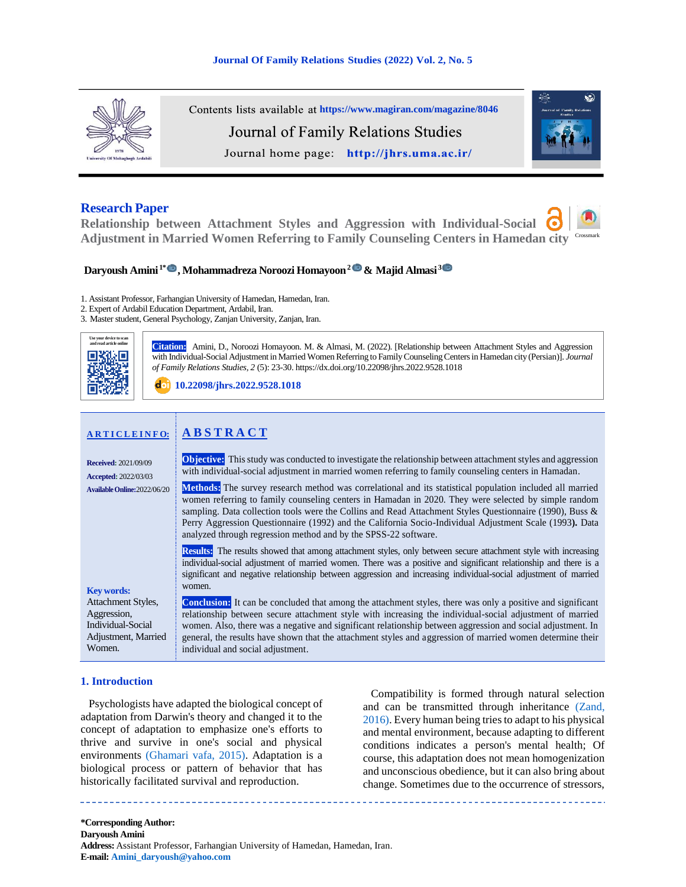

Contents lists available at <https://www.magiran.com/magazine/8046> Journal of Family Relations Studies Journal home page: http://jhrs.uma.ac.ir/



# **Research Paper**

**Relationship between Attachment Styles and Aggression with Individual-Social Adjustment in Married Women Referring to Family Counseling Centers in Hamedan city** Crossmark

# **Daryoush Amini 1\* , Mohammadreza Noroozi Homayoon2& Majid Almasi <sup>3</sup>**

1. Assistant Professor, Farhangian University of Hamedan, Hamedan, Iran.

2. Expert of Ardabil Education Department, Ardabil, Iran.

3. Master student, General Psychology, Zanjan University, Zanjan, Iran.



**Citation::** Amini, D., Noroozi Homayoon. M. & Almasi, M. (2022). [Relationship between Attachment Styles and Aggression with Individual-Social Adjustment in Married Women Referring to Family Counseling Centers in Hamedan city (Persian)]. *Journal of Family Relations Studies, 2* (5): 23-30. https://dx.doi.org/10.22098/jhrs.2022.9528.1018

**[10.22098/jhrs.2022.9528.1018](https://dx.doi.org/10.22098/jhrs.2022.9528.1018)**

| <b>ARTICLEINFO:</b>                                                                                          | <b>ABSTRACT</b>                                                                                                                                                                                                                                                                                                                                                                                                                                                                                                    |
|--------------------------------------------------------------------------------------------------------------|--------------------------------------------------------------------------------------------------------------------------------------------------------------------------------------------------------------------------------------------------------------------------------------------------------------------------------------------------------------------------------------------------------------------------------------------------------------------------------------------------------------------|
| <b>Received: 2021/09/09</b><br><b>Accepted:</b> 2022/03/03                                                   | <b>Objective:</b> This study was conducted to investigate the relationship between attachment styles and aggression<br>with individual-social adjustment in married women referring to family counseling centers in Hamadan.                                                                                                                                                                                                                                                                                       |
| Available Online: 2022/06/20                                                                                 | <b>Methods:</b> The survey research method was correlational and its statistical population included all married<br>women referring to family counseling centers in Hamadan in 2020. They were selected by simple random<br>sampling. Data collection tools were the Collins and Read Attachment Styles Questionnaire (1990), Buss &<br>Perry Aggression Questionnaire (1992) and the California Socio-Individual Adjustment Scale (1993). Data<br>analyzed through regression method and by the SPSS-22 software. |
|                                                                                                              | <b>Results:</b> The results showed that among attachment styles, only between secure attachment style with increasing<br>individual-social adjustment of married women. There was a positive and significant relationship and there is a<br>significant and negative relationship between aggression and increasing individual-social adjustment of married                                                                                                                                                        |
| <b>Key words:</b><br>Attachment Styles,<br>Aggression,<br>Individual-Social<br>Adjustment, Married<br>Women. | women.<br><b>Conclusion:</b> It can be concluded that among the attachment styles, there was only a positive and significant<br>relationship between secure attachment style with increasing the individual-social adjustment of married<br>women. Also, there was a negative and significant relationship between aggression and social adjustment. In<br>general, the results have shown that the attachment styles and aggression of married women determine their<br>individual and social adjustment.         |

# **1. Introduction**

<span id="page-0-0"></span>Psychologists have adapted the biological concept of adaptation from Darwin's theory and changed it to the concept of adaptation to emphasize one's efforts to thrive and survive in one's social and physical environments [\(Ghamari vafa, 2015\).](#page-6-0) Adaptation is a biological process or pattern of behavior that has historically facilitated survival and reproduction.

<span id="page-0-1"></span>Compatibility is formed through natural selection and can be transmitted through inheritance [\(Zand,](#page-7-0)  [2016\).](#page-7-0) Every human being tries to adapt to his physical and mental environment, because adapting to different conditions indicates a person's mental health; Of course, this adaptation does not mean homogenization and unconscious obedience, but it can also bring about change. Sometimes due to the occurrence of stressors,

**\*Corresponding Author: Daryoush Amini Address:** Assistant Professor, Farhangian University of Hamedan, Hamedan, Iran. **E-mail: [Amini\\_daryoush@yahoo.com](mailto:Amini_daryoush@yahoo.com)**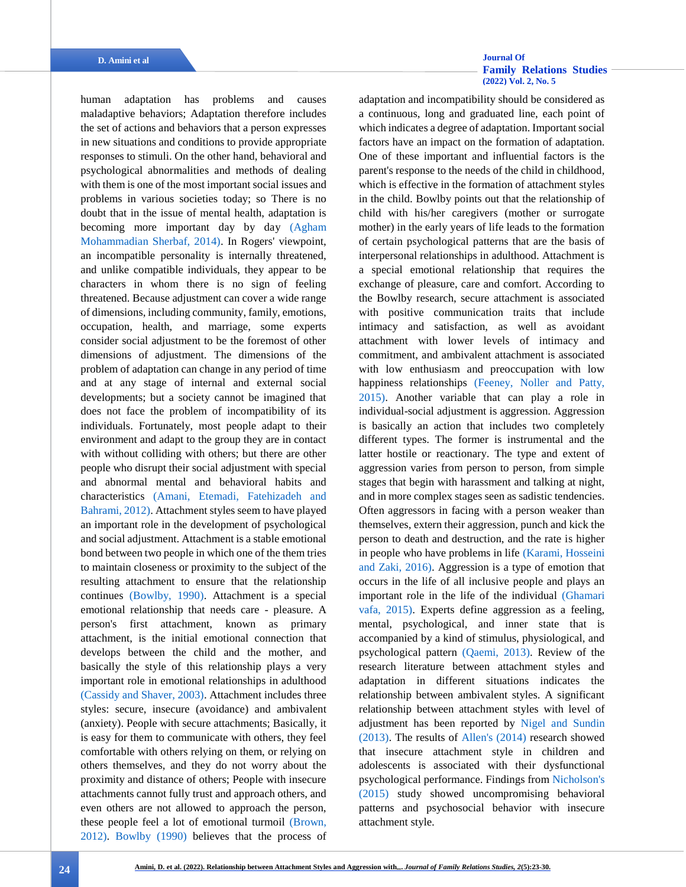**D. Amini et al [Journal Of](http://jhrs.uma.ac.ir/)  [Family Relations Studies](http://jhrs.uma.ac.ir/)  [\(2022\) Vol. 2, No. 5](http://jhrs.uma.ac.ir/)**

<span id="page-1-5"></span><span id="page-1-3"></span><span id="page-1-2"></span>human adaptation has problems and causes maladaptive behaviors; Adaptation therefore includes the set of actions and behaviors that a person expresses in new situations and conditions to provide appropriate responses to stimuli. On the other hand, behavioral and psychological abnormalities and methods of dealing with them is one of the most important social issues and problems in various societies today; so There is no doubt that in the issue of mental health, adaptation is becoming more important day by day [\(Agham](#page-6-1)  [Mohammadian Sherbaf, 2014\).](#page-6-1) In Rogers' viewpoint, an incompatible personality is internally threatened, and unlike compatible individuals, they appear to be characters in whom there is no sign of feeling threatened. Because adjustment can cover a wide range of dimensions, including community, family, emotions, occupation, health, and marriage, some experts consider social adjustment to be the foremost of other dimensions of adjustment. The dimensions of the problem of adaptation can change in any period of time and at any stage of internal and external social developments; but a society cannot be imagined that does not face the problem of incompatibility of its individuals. Fortunately, most people adapt to their environment and adapt to the group they are in contact with without colliding with others; but there are other people who disrupt their social adjustment with special and abnormal mental and behavioral habits and characteristics [\(Amani, Etemadi, Fatehizadeh and](#page-6-2)  [Bahrami,](#page-6-2) 2012). Attachment styles seem to have played an important role in the development of psychological and social adjustment. Attachment is a stable emotional bond between two people in which one of the them tries to maintain closeness or proximity to the subject of the resulting attachment to ensure that the relationship continues [\(Bowlby, 1990\).](#page-6-3) Attachment is a special emotional relationship that needs care - pleasure. A person's first attachment, known as primary attachment, is the initial emotional connection that develops between the child and the mother, and basically the style of this relationship plays a very important role in emotional relationships in adulthood [\(Cassidy and Shaver, 2003\).](#page-6-4) Attachment includes three styles: secure, insecure (avoidance) and ambivalent (anxiety). People with secure attachments; Basically, it is easy for them to communicate with others, they feel comfortable with others relying on them, or relying on others themselves, and they do not worry about the proximity and distance of others; People with insecure attachments cannot fully trust and approach others, and even others are not allowed to approach the person, these people feel a lot of emotional turmoil [\(Brown,](#page-6-5)  [2012\).](#page-6-5) [Bowlby \(1990\)](#page-6-3) believes that the process of <span id="page-1-10"></span><span id="page-1-9"></span><span id="page-1-8"></span><span id="page-1-7"></span><span id="page-1-6"></span><span id="page-1-4"></span><span id="page-1-1"></span><span id="page-1-0"></span>adaptation and incompatibility should be considered as a continuous, long and graduated line, each point of which indicates a degree of adaptation. Important social factors have an impact on the formation of adaptation. One of these important and influential factors is the parent's response to the needs of the child in childhood, which is effective in the formation of attachment styles in the child. Bowlby points out that the relationship of child with his/her caregivers (mother or surrogate mother) in the early years of life leads to the formation of certain psychological patterns that are the basis of interpersonal relationships in adulthood. Attachment is a special emotional relationship that requires the exchange of pleasure, care and comfort. According to the Bowlby research, secure attachment is associated with positive communication traits that include intimacy and satisfaction, as well as avoidant attachment with lower levels of intimacy and commitment, and ambivalent attachment is associated with low enthusiasm and preoccupation with low happiness relationships [\(Feeney, Noller and Patty,](#page-6-6)  [2015\).](#page-6-6) Another variable that can play a role in individual-social adjustment is aggression. Aggression is basically an action that includes two completely different types. The former is instrumental and the latter hostile or reactionary. The type and extent of aggression varies from person to person, from simple stages that begin with harassment and talking at night, and in more complex stages seen as sadistic tendencies. Often aggressors in facing with a person weaker than themselves, extern their aggression, punch and kick the person to death and destruction, and the rate is higher in people who have problems in lif[e \(Karami, Hosseini](#page-7-1)  [and Zaki, 2016\).](#page-7-1) Aggression is a type of emotion that occurs in the life of all inclusive people and plays an important role in the life of the individual [\(Ghamari](#page-6-0)  [vafa, 2015\).](#page-6-0) Experts define aggression as a feeling, mental, psychological, and inner state that is accompanied by a kind of stimulus, physiological, and psychological pattern [\(Qaemi, 2013\).](#page-7-2) Review of the research literature between attachment styles and adaptation in different situations indicates the relationship between ambivalent styles. A significant relationship between attachment styles with level of adjustment has been reported by [Nigel and Sundin](#page-7-3)  [\(2013\).](#page-7-3) The results of [Allen's \(2014\)](#page-6-7) research showed that insecure attachment style in children and adolescents is associated with their dysfunctional psychological performance. Findings from [Nicholson's](#page-7-4)  [\(2015\)](#page-7-4) study showed uncompromising behavioral patterns and psychosocial behavior with insecure attachment style.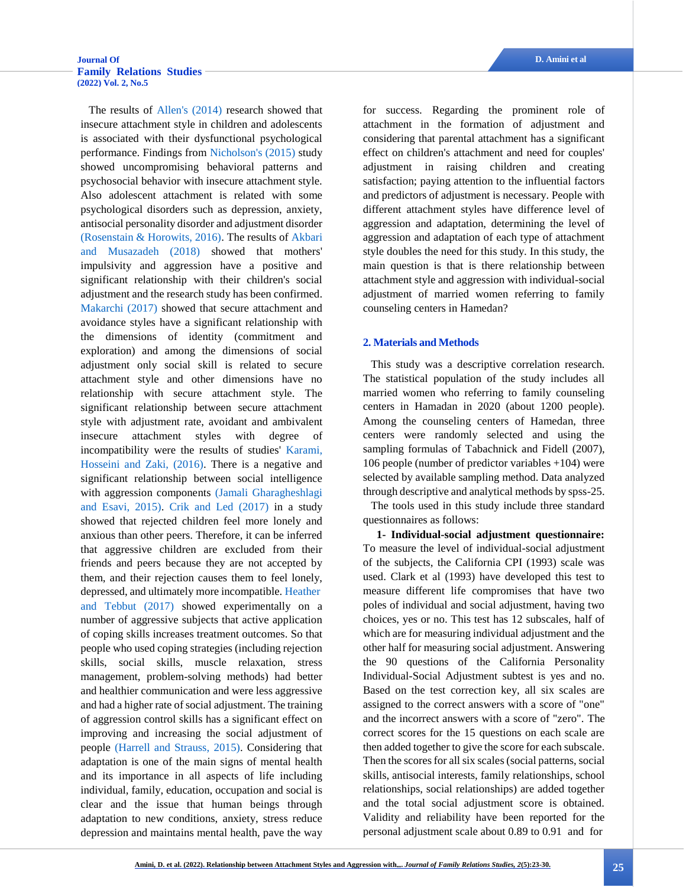<span id="page-2-6"></span><span id="page-2-5"></span>The results of [Allen's \(2014\)](#page-6-7) research showed that insecure attachment style in children and adolescents is associated with their dysfunctional psychological performance. Findings from [Nicholson's \(2015\)](#page-7-4) study showed uncompromising behavioral patterns and psychosocial behavior with insecure attachment style. Also adolescent attachment is related with some psychological disorders such as depression, anxiety, antisocial personality disorder and adjustment disorder [\(Rosenstain & Horowits, 2016\).](#page-7-5) The results of [Akbari](#page-6-8)  [and Musazadeh \(2018\)](#page-6-8) showed that mothers' impulsivity and aggression have a positive and significant relationship with their children's social adjustment and the research study has been confirmed. [Makarchi \(2017\)](#page-7-6) showed that secure attachment and avoidance styles have a significant relationship with the dimensions of identity (commitment and exploration) and among the dimensions of social adjustment only social skill is related to secure attachment style and other dimensions have no relationship with secure attachment style. The significant relationship between secure attachment style with adjustment rate, avoidant and ambivalent insecure attachment styles with degree of incompatibility were the results of studies' [Karami,](#page-7-1)  [Hosseini and Zaki, \(2016\).](#page-7-1) There is a negative and significant relationship between social intelligence with aggression components [\(Jamali Gharagheshlagi](#page-7-7)  [and Esavi, 2015\).](#page-7-7) [Crik and Led \(2017\)](#page-6-9) in a study showed that rejected children feel more lonely and anxious than other peers. Therefore, it can be inferred that aggressive children are excluded from their friends and peers because they are not accepted by them, and their rejection causes them to feel lonely, depressed, and ultimately more incompatible[. Heather](#page-6-10) [and Tebbut \(2017\)](#page-6-10) showed experimentally on a number of aggressive subjects that active application of coping skills increases treatment outcomes. So that people who used coping strategies (including rejection skills, social skills, muscle relaxation, stress management, problem-solving methods) had better and healthier communication and were less aggressive and had a higher rate of social adjustment. The training of aggression control skills has a significant effect on improving and increasing the social adjustment of people (Harrell [and Strauss, 2015\).](#page-6-11) Considering that adaptation is one of the main signs of mental health and its importance in all aspects of life including individual, family, education, occupation and social is clear and the issue that human beings through adaptation to new conditions, anxiety, stress reduce depression and maintains mental health, pave the way for success. Regarding the prominent role of attachment in the formation of adjustment and considering that parental attachment has a significant effect on children's attachment and need for couples' adjustment in raising children and creating satisfaction; paying attention to the influential factors and predictors of adjustment is necessary. People with different attachment styles have difference level of aggression and adaptation, determining the level of aggression and adaptation of each type of attachment style doubles the need for this study. In this study, the main question is that is there relationship between attachment style and aggression with individual-social adjustment of married women referring to family counseling centers in Hamedan?

### <span id="page-2-0"></span>**2. Materials and Methods**

This study was a descriptive correlation research. The statistical population of the study includes all married women who referring to family counseling centers in Hamadan in 2020 (about 1200 people). Among the counseling centers of Hamedan, three centers were randomly selected and using the sampling formulas of Tabachnick and Fidell (2007), 106 people (number of predictor variables +104) were selected by available sampling method. Data analyzed through descriptive and analytical methods by spss-25.

<span id="page-2-4"></span><span id="page-2-1"></span>The tools used in this study include three standard questionnaires as follows:

<span id="page-2-3"></span><span id="page-2-2"></span> **1- Individual-social adjustment questionnaire:** To measure the level of individual-social adjustment of the subjects, the California CPI (1993) scale was used. Clark et al (1993) have developed this test to measure different life compromises that have two poles of individual and social adjustment, having two choices, yes or no. This test has 12 subscales, half of which are for measuring individual adjustment and the other half for measuring social adjustment. Answering the 90 questions of the California Personality Individual-Social Adjustment subtest is yes and no. Based on the test correction key, all six scales are assigned to the correct answers with a score of "one" and the incorrect answers with a score of "zero". The correct scores for the 15 questions on each scale are then added together to give the score for each subscale. Then the scores for all six scales (social patterns, social skills, antisocial interests, family relationships, school relationships, social relationships) are added together and the total social adjustment score is obtained. Validity and reliability have been reported for the personal adjustment scale about 0.89 to 0.91 and for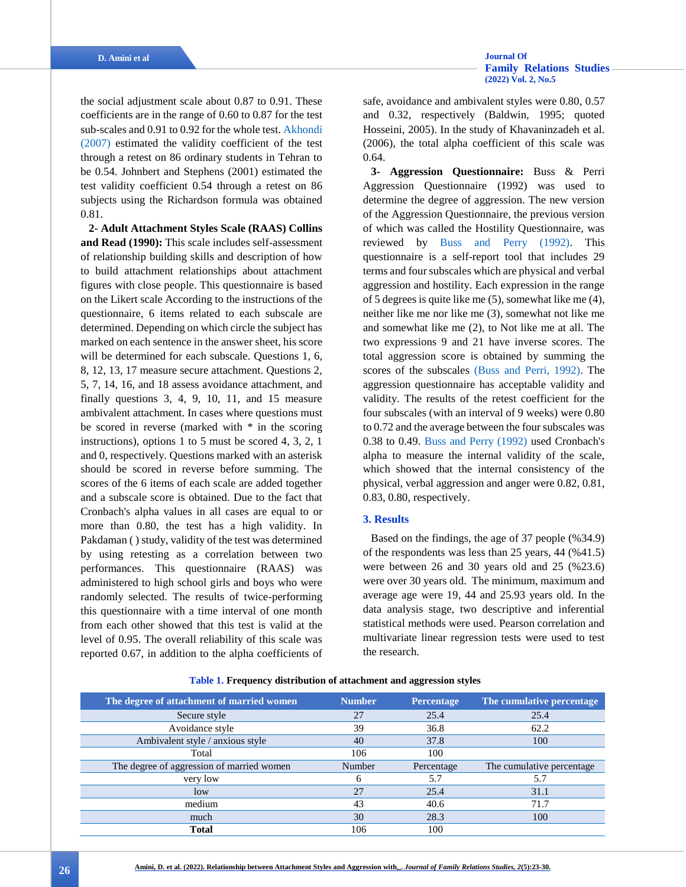the social adjustment scale about 0.87 to 0.91. These coefficients are in the range of 0.60 to 0.87 for the test sub-scales and 0.91 to 0.92 for the whole test. [Akhondi](#page-6-12)  [\(2007\)](#page-6-12) estimated the validity coefficient of the test through a retest on 86 ordinary students in Tehran to be 0.54. Johnbert and Stephens (2001) estimated the test validity coefficient 0.54 through a retest on 86 subjects using the Richardson formula was obtained 0.81.

**2- Adult Attachment Styles Scale (RAAS) Collins and Read (1990):** This scale includes self-assessment of relationship building skills and description of how to build attachment relationships about attachment figures with close people. This questionnaire is based on the Likert scale According to the instructions of the questionnaire, 6 items related to each subscale are determined. Depending on which circle the subject has marked on each sentence in the answer sheet, his score will be determined for each subscale. Questions 1, 6, 8, 12, 13, 17 measure secure attachment. Questions 2, 5, 7, 14, 16, and 18 assess avoidance attachment, and finally questions 3, 4, 9, 10, 11, and 15 measure ambivalent attachment. In cases where questions must be scored in reverse (marked with \* in the scoring instructions), options 1 to 5 must be scored 4, 3, 2, 1 and 0, respectively. Questions marked with an asterisk should be scored in reverse before summing. The scores of the 6 items of each scale are added together and a subscale score is obtained. Due to the fact that Cronbach's alpha values in all cases are equal to or more than 0.80, the test has a high validity. In Pakdaman ( ) study, validity of the test was determined by using retesting as a correlation between two performances. This questionnaire (RAAS) was administered to high school girls and boys who were randomly selected. The results of twice-performing this questionnaire with a time interval of one month from each other showed that this test is valid at the level of 0.95. The overall reliability of this scale was reported 0.67, in addition to the alpha coefficients of

<span id="page-3-0"></span>safe, avoidance and ambivalent styles were 0.80, 0.57 and 0.32, respectively (Baldwin, 1995; quoted Hosseini, 2005). In the study of Khavaninzadeh et al. (2006), the total alpha coefficient of this scale was 0.64.

<span id="page-3-1"></span>**3- Aggression Questionnaire:** Buss & Perri Aggression Questionnaire (1992) was used to determine the degree of aggression. The new version of the Aggression Questionnaire, the previous version of which was called the Hostility Questionnaire, was reviewed by Buss [and Perry \(1992\).](#page-6-13) This questionnaire is a self-report tool that includes 29 terms and four subscales which are physical and verbal aggression and hostility. Each expression in the range of 5 degrees is quite like me (5), somewhat like me (4), neither like me nor like me (3), somewhat not like me and somewhat like me (2), to Not like me at all. The two expressions 9 and 21 have inverse scores. The total aggression score is obtained by summing the scores of the subscales (Buss and [Perri, 1992\).](#page-6-13) The aggression questionnaire has acceptable validity and validity. The results of the retest coefficient for the four subscales (with an interval of 9 weeks) were 0.80 to 0.72 and the average between the four subscales was 0.38 to 0.49. [Buss and Perry \(1992\)](#page-6-13) used Cronbach's alpha to measure the internal validity of the scale, which showed that the internal consistency of the physical, verbal aggression and anger were 0.82, 0.81, 0.83, 0.80, respectively.

### **3. Results**

Based on the findings, the age of 37 people (%34.9) of the respondents was less than 25 years, 44 (%41.5) were between 26 and 30 years old and 25 (%23.6) were over 30 years old. The minimum, maximum and average age were 19, 44 and 25.93 years old. In the data analysis stage, two descriptive and inferential statistical methods were used. Pearson correlation and multivariate linear regression tests were used to test the research.

| The degree of attachment of married women | <b>Number</b> | <b>Percentage</b> | The cumulative percentage  |
|-------------------------------------------|---------------|-------------------|----------------------------|
| Secure style                              | 27            | 25.4              | 25.4                       |
| Avoidance style                           | 39            | 36.8              | 62.2                       |
| Ambivalent style / anxious style          | 40            | 37.8              | 100                        |
| Total                                     | 106           | 100               |                            |
| The degree of aggression of married women | Number        | Percentage        | The cumulative percentage. |
| very low                                  |               | 5.7               | 5.7                        |
| low                                       | 27            | 25.4              | 31.1                       |
| medium                                    | 43            | 40.6              | 71.7                       |
| much                                      | 30            | 28.3              | 100                        |
| <b>Total</b>                              | 106           | 100               |                            |

**Table 1. Frequency distribution of attachment and aggression styles**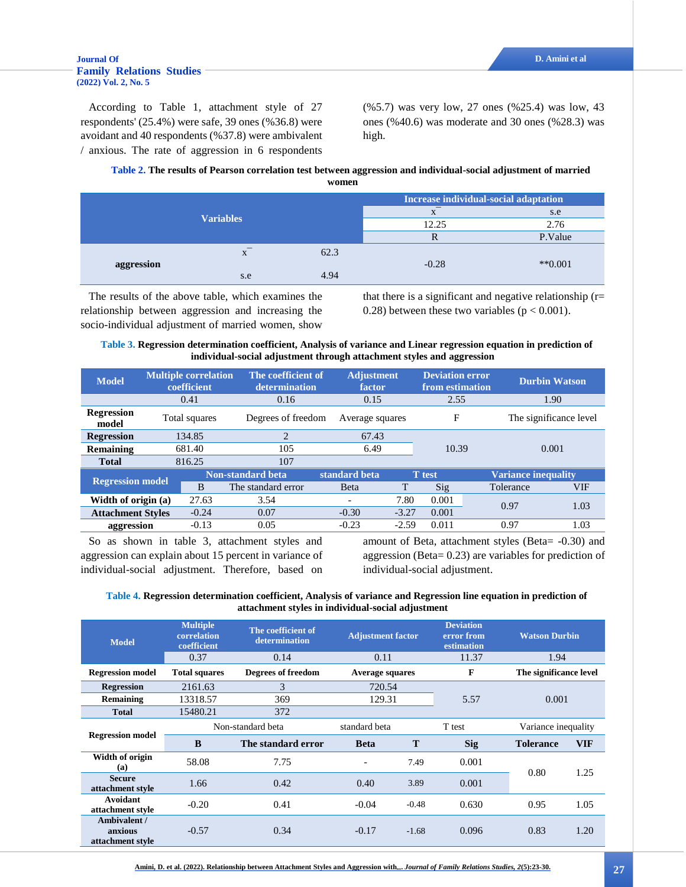### **[Journal Of](http://jhrs.uma.ac.ir/) D. Amini et al [Family Relations Studies](http://jhrs.uma.ac.ir/)  [\(2022\) Vol. 2, No. 5](http://jhrs.uma.ac.ir/)**

According to Table 1, attachment style of 27 respondents' (25.4%) were safe, 39 ones (%36.8) were avoidant and 40 respondents (%37.8) were ambivalent / anxious. The rate of aggression in 6 respondents (%5.7) was very low, 27 ones (%25.4) was low, 43 ones (%40.6) was moderate and 30 ones (%28.3) was high.

### **Table 2. The results of Pearson correlation test between aggression and individual-social adjustment of married women**

| <b>Variables</b> |                   |      | Increase individual-social adaptation |                      |  |
|------------------|-------------------|------|---------------------------------------|----------------------|--|
|                  |                   |      |                                       | s.e                  |  |
|                  |                   |      | 12.25                                 | 2.76                 |  |
|                  |                   |      |                                       | P.Value              |  |
|                  | $\mathbf{v}$<br>A | 62.3 |                                       |                      |  |
| aggression       | s.e               | 4.94 | $-0.28$                               | $*$ <sup>0.001</sup> |  |

The results of the above table, which examines the relationship between aggression and increasing the socio-individual adjustment of married women, show

that there is a significant and negative relationship  $(r=$ 0.28) between these two variables ( $p < 0.001$ ).

| Table 3. Regression determination coefficient, Analysis of variance and Linear regression equation in prediction of |
|---------------------------------------------------------------------------------------------------------------------|
| individual-social adjustment through attachment styles and aggression                                               |

| <b>Model</b>               | <b>Multiple correlation</b><br>coefficient |         | The coefficient of<br>determination | <b>Adjustment</b><br>factor |                 | <b>Deviation error</b><br>from estimation |                        | <b>Durbin Watson</b>       |  |
|----------------------------|--------------------------------------------|---------|-------------------------------------|-----------------------------|-----------------|-------------------------------------------|------------------------|----------------------------|--|
|                            | 0.41                                       |         | 0.16                                |                             | 0.15            | 2.55                                      |                        | 1.90                       |  |
| <b>Regression</b><br>model | Total squares                              |         | Degrees of freedom                  |                             | Average squares | F                                         | The significance level |                            |  |
| <b>Regression</b>          |                                            | 134.85  | 2                                   |                             | 67.43           |                                           |                        | 0.001                      |  |
| <b>Remaining</b>           |                                            | 681.40  | 105                                 |                             | 6.49            | 10.39                                     |                        |                            |  |
| <b>Total</b>               |                                            | 816.25  | 107                                 |                             |                 |                                           |                        |                            |  |
|                            |                                            |         | <b>Non-standard beta</b>            | standard beta               |                 | $T$ test                                  |                        | <b>Variance inequality</b> |  |
| <b>Regression model</b>    |                                            | B       | The standard error                  | <b>B</b> eta                | т               | Sig                                       | Tolerance              | VIF                        |  |
| Width of origin (a)        |                                            | 27.63   | 3.54                                | $\overline{\phantom{a}}$    | 7.80            | 0.001                                     | 0.97                   | 1.03                       |  |
| <b>Attachment Styles</b>   |                                            | $-0.24$ | 0.07                                | $-0.30$                     | $-3.27$         | 0.001                                     |                        |                            |  |
| aggression                 |                                            | $-0.13$ | 0.05                                | $-0.23$                     | $-2.59$         | 0.011                                     | 0.97                   | 1.03                       |  |

So as shown in table 3, attachment styles and aggression can explain about 15 percent in variance of individual-social adjustment. Therefore, based on amount of Beta, attachment styles (Beta= -0.30) and aggression (Beta= 0.23) are variables for prediction of individual-social adjustment.

| Table 4. Regression determination coefficient, Analysis of variance and Regression line equation in prediction of |
|-------------------------------------------------------------------------------------------------------------------|
| attachment styles in individual-social adjustment                                                                 |

| <b>Model</b>                                | <b>Multiple</b><br>correlation<br>coefficient | The coefficient of<br>determination | <b>Adjustment factor</b> |         | <b>Deviation</b><br>error from<br>estimation | <b>Watson Durbin</b> |                        |  |
|---------------------------------------------|-----------------------------------------------|-------------------------------------|--------------------------|---------|----------------------------------------------|----------------------|------------------------|--|
|                                             | 0.37                                          | 0.14                                | 0.11                     |         | 11.37                                        |                      | 1.94                   |  |
| <b>Regression model</b>                     | <b>Total squares</b>                          | <b>Degrees of freedom</b>           | Average squares          |         | F                                            |                      | The significance level |  |
| <b>Regression</b>                           | 2161.63                                       | 3                                   | 720.54                   |         |                                              |                      |                        |  |
| Remaining                                   | 13318.57                                      | 369                                 | 129.31                   |         | 5.57                                         |                      | 0.001                  |  |
| <b>Total</b>                                | 15480.21                                      | 372                                 |                          |         |                                              |                      |                        |  |
| <b>Regression model</b>                     | Non-standard beta                             |                                     | standard beta            |         | T test                                       | Variance inequality  |                        |  |
|                                             | B                                             | The standard error                  | <b>Beta</b>              | T       | <b>Sig</b>                                   | <b>Tolerance</b>     | <b>VIF</b>             |  |
| Width of origin<br>(a)                      | 58.08                                         | 7.75                                | $\overline{\phantom{a}}$ | 7.49    | 0.001                                        | 0.80                 | 1.25                   |  |
| <b>Secure</b><br>attachment style           | 1.66                                          | 0.42                                | 0.40                     | 3.89    | 0.001                                        |                      |                        |  |
| Avoidant<br>attachment style                | $-0.20$                                       | 0.41                                | $-0.04$                  | $-0.48$ | 0.630                                        | 0.95                 | 1.05                   |  |
| Ambivalent /<br>anxious<br>attachment style | $-0.57$                                       | 0.34                                | $-0.17$                  | $-1.68$ | 0.096                                        | 0.83                 | 1.20                   |  |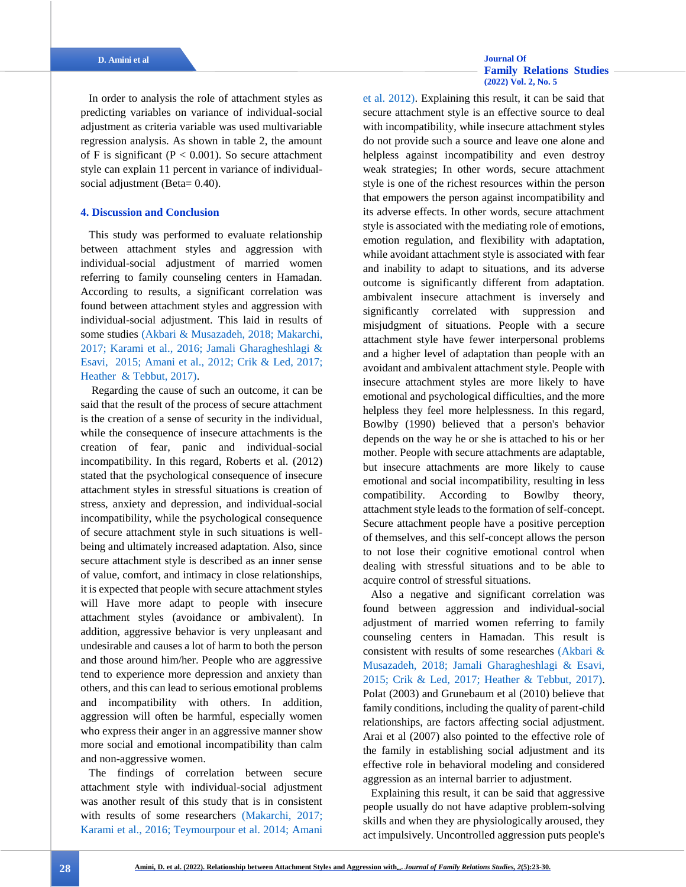In order to analysis the role of attachment styles as predicting variables on variance of individual-social adjustment as criteria variable was used multivariable regression analysis. As shown in table 2, the amount of F is significant ( $P < 0.001$ ). So secure attachment style can explain 11 percent in variance of individualsocial adjustment (Beta= 0.40).

## **4. Discussion and Conclusion**

This study was performed to evaluate relationship between attachment styles and aggression with individual-social adjustment of married women referring to family counseling centers in Hamadan. According to results, a significant correlation was found between attachment styles and aggression with individual-social adjustment. This laid in results of some studies [\(Akbari & Musazadeh, 2018;](#page-6-8) [Makarchi,](#page-7-6)  [2017;](#page-7-6) [Karami et al., 2016;](#page-7-1) [Jamali Gharagheshlagi &](#page-7-7)  [Esavi, 2015;](#page-7-7) [Amani et al., 2012;](#page-6-2) [Crik & Led, 2017;](#page-6-9) Heather [& Tebbut, 2017\).](#page-6-10)

Regarding the cause of such an outcome, it can be said that the result of the process of secure attachment is the creation of a sense of security in the individual, while the consequence of insecure attachments is the creation of fear, panic and individual-social incompatibility. In this regard, Roberts et al. (2012) stated that the psychological consequence of insecure attachment styles in stressful situations is creation of stress, anxiety and depression, and individual-social incompatibility, while the psychological consequence of secure attachment style in such situations is wellbeing and ultimately increased adaptation. Also, since secure attachment style is described as an inner sense of value, comfort, and intimacy in close relationships, it is expected that people with secure attachment styles will Have more adapt to people with insecure attachment styles (avoidance or ambivalent). In addition, aggressive behavior is very unpleasant and undesirable and causes a lot of harm to both the person and those around him/her. People who are aggressive tend to experience more depression and anxiety than others, and this can lead to serious emotional problems and incompatibility with others. In addition, aggression will often be harmful, especially women who express their anger in an aggressive manner show more social and emotional incompatibility than calm and non-aggressive women.

The findings of correlation between secure attachment style with individual-social adjustment was another result of this study that is in consistent with results of some researchers [\(Makarchi, 2017;](#page-7-6) [Karami et al., 2016; Teymourpour et al. 2014;](#page-7-1) [Amani](#page-6-2) 

# **[Family Relations Studies](http://jhrs.uma.ac.ir/)  [\(2022\) Vol. 2, No. 5](http://jhrs.uma.ac.ir/)**

[et al. 2012\).](#page-6-2) Explaining this result, it can be said that secure attachment style is an effective source to deal with incompatibility, while insecure attachment styles do not provide such a source and leave one alone and helpless against incompatibility and even destroy weak strategies; In other words, secure attachment style is one of the richest resources within the person that empowers the person against incompatibility and its adverse effects. In other words, secure attachment style is associated with the mediating role of emotions, emotion regulation, and flexibility with adaptation, while avoidant attachment style is associated with fear and inability to adapt to situations, and its adverse outcome is significantly different from adaptation. ambivalent insecure attachment is inversely and significantly correlated with suppression and misjudgment of situations. People with a secure attachment style have fewer interpersonal problems and a higher level of adaptation than people with an avoidant and ambivalent attachment style. People with insecure attachment styles are more likely to have emotional and psychological difficulties, and the more helpless they feel more helplessness. In this regard, Bowlby (1990) believed that a person's behavior depends on the way he or she is attached to his or her mother. People with secure attachments are adaptable, but insecure attachments are more likely to cause emotional and social incompatibility, resulting in less compatibility. According to Bowlby theory, attachment style leads to the formation of self-concept. Secure attachment people have a positive perception of themselves, and this self-concept allows the person to not lose their cognitive emotional control when dealing with stressful situations and to be able to acquire control of stressful situations.

Also a negative and significant correlation was found between aggression and individual-social adjustment of married women referring to family counseling centers in Hamadan. This result is consistent with results of some researches [\(Akbari &](#page-6-8)  [Musazadeh, 2018;](#page-6-8) [Jamali Gharagheshlagi & Esavi,](#page-7-7)  [2015;](#page-7-7) [Crik & Led, 2017;](#page-6-9) Heather [& Tebbut, 2017\).](#page-6-10) Polat (2003) and Grunebaum et al (2010) believe that family conditions, including the quality of parent-child relationships, are factors affecting social adjustment. Arai et al (2007) also pointed to the effective role of the family in establishing social adjustment and its effective role in behavioral modeling and considered aggression as an internal barrier to adjustment.

Explaining this result, it can be said that aggressive people usually do not have adaptive problem-solving skills and when they are physiologically aroused, they act impulsively. Uncontrolled aggression puts people's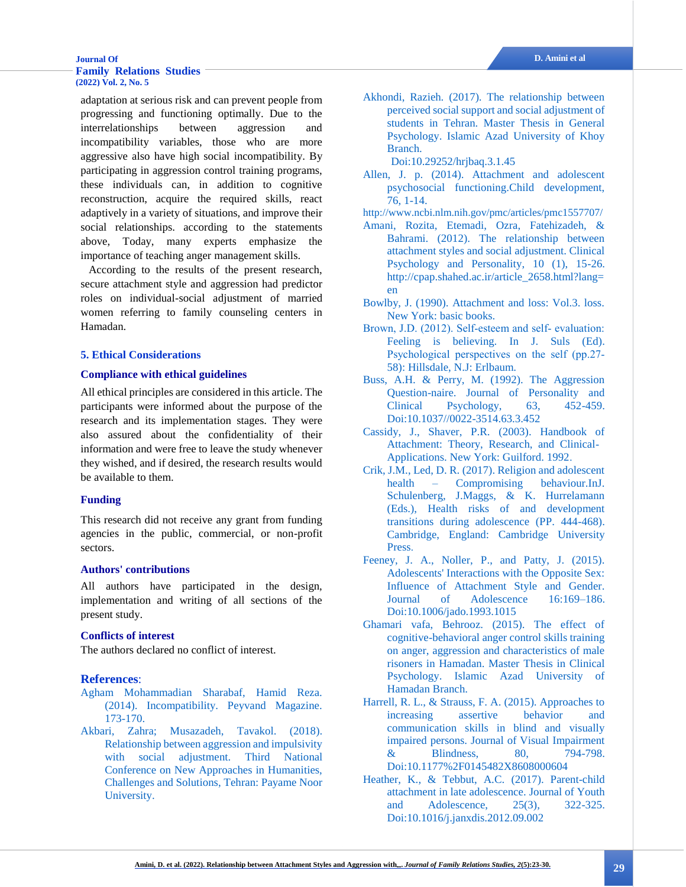### **[Journal Of](http://jhrs.uma.ac.ir/) D. Amini et al [Family Relations Studies](http://jhrs.uma.ac.ir/)  [\(2022\) Vol. 2, No. 5](http://jhrs.uma.ac.ir/)**

adaptation at serious risk and can prevent people from progressing and functioning optimally. Due to the interrelationships between aggression and incompatibility variables, those who are more aggressive also have high social incompatibility. By participating in aggression control training programs, these individuals can, in addition to cognitive reconstruction, acquire the required skills, react adaptively in a variety of situations, and improve their social relationships. according to the statements above, Today, many experts emphasize the importance of teaching anger management skills.

According to the results of the present research, secure attachment style and aggression had predictor roles on individual-social adjustment of married women referring to family counseling centers in Hamadan.

### **5. Ethical Considerations**

### **Compliance with ethical guidelines**

All ethical principles are considered in this article. The participants were informed about the purpose of the research and its implementation stages. They were also assured about the confidentiality of their information and were free to leave the study whenever they wished, and if desired, the research results would be available to them.

# **Funding**

This research did not receive any grant from funding agencies in the public, commercial, or non-profit sectors.

### **Authors' contributions**

All authors have participated in the design, implementation and writing of all sections of the present study.

# **Conflicts of interest**

The authors declared no conflict of interest.

# **References**:

- <span id="page-6-1"></span>[Agham Mohammadian Sharabaf, Hamid Reza.](#page-1-0)  [\(2014\). Incompatibility. Peyvand Magazine.](#page-1-0)  [173-170.](#page-1-0)
- <span id="page-6-8"></span>[Akbari, Zahra; Musazadeh, Tavakol. \(2018\).](#page-2-0)  [Relationship between aggression and impulsivity](#page-2-0)  [with social adjustment. Third National](#page-2-0)  [Conference on New Approaches in Humanities,](#page-2-0)  [Challenges and Solutions, Tehran: Payame Noor](#page-2-0)  [University.](#page-2-0)

<span id="page-6-12"></span>[Akhondi, Razieh. \(2017\). The relationship between](#page-3-0)  [perceived social support and social adjustment of](#page-3-0)  [students in Tehran. Master Thesis in General](#page-3-0)  [Psychology. Islamic Azad University of Khoy](#page-3-0)  [Branch.](#page-3-0)

[Doi:10.29252/hrjbaq.3.1.45](http://dx.doi.org/10.29252/hrjbaq.3.1.45)

- <span id="page-6-7"></span>[Allen, J. p. \(2014\). Attachment and adolescent](#page-1-1)  [psychosocial functioning.Child development,](#page-1-1)  [76, 1-14.](#page-1-1)
- <http://www.ncbi.nlm.nih.gov/pmc/articles/pmc1557707/>
- <span id="page-6-2"></span>[Amani, Rozita, Etemadi, Ozra, Fatehizadeh, &](#page-1-2)  [Bahrami. \(2012\). The relationship between](#page-1-2)  [attachment styles and social adjustment. Clinical](#page-1-2)  [Psychology and Personality, 10 \(1\), 15-26.](#page-1-2) [http://cpap.shahed.ac.ir/article\\_2658.html?lang=](http://cpap.shahed.ac.ir/article_2658.html?lang=en) [en](http://cpap.shahed.ac.ir/article_2658.html?lang=en)
- <span id="page-6-3"></span>[Bowlby, J. \(1990\). Attachment and loss: Vol.3. loss.](#page-1-3)  [New York: basic books.](#page-1-3)
- <span id="page-6-5"></span>Brown, J.D. (2012). Self-esteem and self-evaluation: [Feeling is believing. In J. Suls \(Ed\).](#page-1-4)  [Psychological perspectives on the self \(pp.27‐](#page-1-4) [58\): Hillsdale, N.J: Erlbaum.](#page-1-4)
- <span id="page-6-13"></span>[Buss, A.H. & Perry, M. \(1992\). The Aggression](#page-3-1)  [Question-naire. Journal of Personality and](#page-3-1)  [Clinical Psychology, 63, 452-459.](#page-3-1) [Doi:10.1037//0022-3514.63.3.452](https://doi.org/10.1037/0022-3514.63.3.452)
- <span id="page-6-4"></span>[Cassidy, J., Shaver, P.R. \(2003\). Handbook of](#page-1-5)  [Attachment: Theory, Research, and Clinical-](#page-1-5)[Applications. New York: Guilford. 1992.](#page-1-5)
- <span id="page-6-9"></span>[Crik, J.M., Led, D. R. \(2017\). Religion and adolescent](#page-2-1)  health – [Compromising behaviour.InJ.](#page-2-1)  [Schulenberg, J.Maggs, & K. Hurrelamann](#page-2-1)  [\(Eds.\), Health risks of and development](#page-2-1)  [transitions during adolescence \(PP. 444-468\).](#page-2-1)  [Cambridge, England: Cambridge University](#page-2-1)  [Press.](#page-2-1)
- <span id="page-6-6"></span>Feeney, J. A., Noller, P., and Patty, J. (2015). [Adolescents' Interactions with the Opposite Sex:](#page-1-6)  [Influence of Attachment Style and Gender.](#page-1-6)  [Journal of Adolescence 16:169–186.](#page-1-6) [Doi:10.1006/jado.1993.1015](https://doi.org/10.1006/jado.1993.1015)
- <span id="page-6-0"></span>[Ghamari vafa, Behrooz. \(2015\). The effect of](#page-0-0)  [cognitive-behavioral anger control skills training](#page-0-0)  [on anger, aggression and characteristics of male](#page-0-0)  [risoners in Hamadan. Master Thesis in Clinical](#page-0-0)  [Psychology. Islamic Azad University of](#page-0-0)  [Hamadan Branch.](#page-0-0)
- <span id="page-6-11"></span>[Harrell, R. L., & Strauss, F. A. \(2015\). Approaches to](#page-2-2)  [increasing assertive behavior and](#page-2-2)  [communication skills in blind and visually](#page-2-2)  [impaired persons. Journal of Visual Impairment](#page-2-2)  [& Blindness, 80, 794-798.](#page-2-2) [Doi:10.1177%2F0145482X8608000604](https://doi.org/10.1177%2F0145482X8608000604)
- <span id="page-6-10"></span>[Heather, K., & Tebbut, A.C.](#page-2-3) (2017). Parent-child [attachment in late adolescence. Journal of Youth](#page-2-3)  [and Adolescence, 25\(3\), 322-325.](#page-2-3) [Doi:10.1016/j.janxdis.2012.09.002](https://doi.org/10.1016/j.janxdis.2012.09.002)